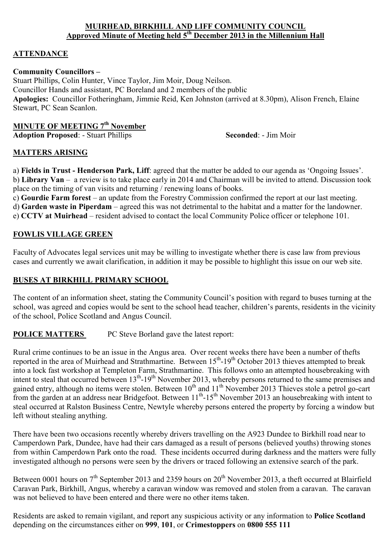#### **MUIRHEAD, BIRKHILL AND LIFF COMMUNITY COUNCIL Approved Minute of Meeting held 5th December 2013 in the Millennium Hall**

# **ATTENDANCE**

#### **Community Councillors –**

Stuart Phillips, Colin Hunter, Vince Taylor, Jim Moir, Doug Neilson. Councillor Hands and assistant, PC Boreland and 2 members of the public **Apologies:** Councillor Fotheringham, Jimmie Reid, Ken Johnston (arrived at 8.30pm), Alison French, Elaine Stewart, PC Sean Scanlon.

# **MINUTE OF MEETING 7th November**

**Adoption Proposed:** - Stuart Phillips **Seconded:** - Jim Moir

#### **MATTERS ARISING**

a) **Fields in Trust - Henderson Park, Liff**: agreed that the matter be added to our agenda as 'Ongoing Issues'. b) **Library Van** – a review is to take place early in 2014 and Chairman will be invited to attend. Discussion took place on the timing of van visits and returning / renewing loans of books.

c) **Gourdie Farm forest** – an update from the Forestry Commission confirmed the report at our last meeting. d) **Garden waste in Piperdam** – agreed this was not detrimental to the habitat and a matter for the landowner. e) **CCTV at Muirhead** – resident advised to contact the local Community Police officer or telephone 101.

### **FOWLIS VILLAGE GREEN**

Faculty of Advocates legal services unit may be willing to investigate whether there is case law from previous cases and currently we await clarification, in addition it may be possible to highlight this issue on our web site.

### **BUSES AT BIRKHILL PRIMARY SCHOOL**

The content of an information sheet, stating the Community Council's position with regard to buses turning at the school, was agreed and copies would be sent to the school head teacher, children's parents, residents in the vicinity of the school, Police Scotland and Angus Council.

# **POLICE MATTERS** PC Steve Borland gave the latest report:

Rural crime continues to be an issue in the Angus area. Over recent weeks there have been a number of thefts reported in the area of Muirhead and Strathmartine. Between 15<sup>th</sup>-19<sup>th</sup> October 2013 thieves attempted to break into a lock fast workshop at Templeton Farm, Strathmartine. This follows onto an attempted housebreaking with intent to steal that occurred between 13<sup>th</sup>-19<sup>th</sup> November 2013, whereby persons returned to the same premises and gained entry, although no items were stolen. Between 10<sup>th</sup> and 11<sup>th</sup> November 2013 Thieves stole a petrol go-cart gained entry, antiough no hems were storen. Between 10<sup>th</sup> and 11<sup>th</sup>-15<sup>th</sup> November 2013 an housebreaking with intent to from the garden at an address near Bridgefoot. Between 11<sup>th</sup>-15<sup>th</sup> November 2013 an housebreaking steal occurred at Ralston Business Centre, Newtyle whereby persons entered the property by forcing a window but left without stealing anything.

There have been two occasions recently whereby drivers travelling on the A923 Dundee to Birkhill road near to Camperdown Park, Dundee, have had their cars damaged as a result of persons (believed youths) throwing stones from within Camperdown Park onto the road. These incidents occurred during darkness and the matters were fully investigated although no persons were seen by the drivers or traced following an extensive search of the park.

Between 0001 hours on 7<sup>th</sup> September 2013 and 2359 hours on 20<sup>th</sup> November 2013, a theft occurred at Blairfield Caravan Park, Birkhill, Angus, whereby a caravan window was removed and stolen from a caravan. The caravan was not believed to have been entered and there were no other items taken.

Residents are asked to remain vigilant, and report any suspicious activity or any information to **Police Scotland** depending on the circumstances either on **999**, **101**, or **Crimestoppers** on **0800 555 111**